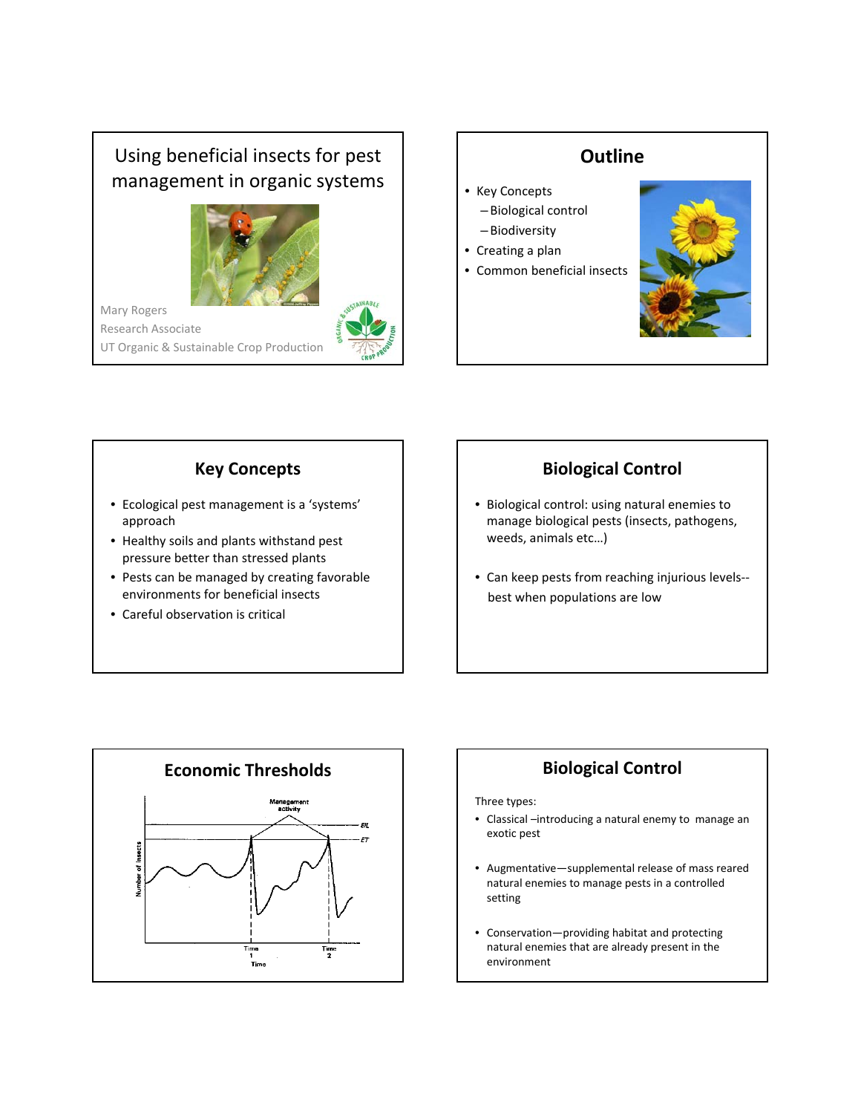# Using beneficial insects for pest management in organic systems



Mary Rogers Research Associate UT Organic & Sustainable Crop Production



### **Key Concepts**

- Ecological pest management is a 'systems' approach
- Healthy soils and plants withstand pest pressure better than stressed plants
- Pests can be managed by creating favorable environments for beneficial insects
- Careful observation is critical

## **Biological Control**

- Biological control: using natural enemies to manage biological pests (insects, pathogens, weeds, animals etc…)
- Can keep pests from reaching injurious levels‐‐ best when populations are low



Three types:

- Classical –introducing a natural enemy to manage an exotic pest
- Augmentative—supplemental release of mass reared natural enemies to manage pests in a controlled setting
- Conservation—providing habitat and protecting natural enemies that are already present in the environment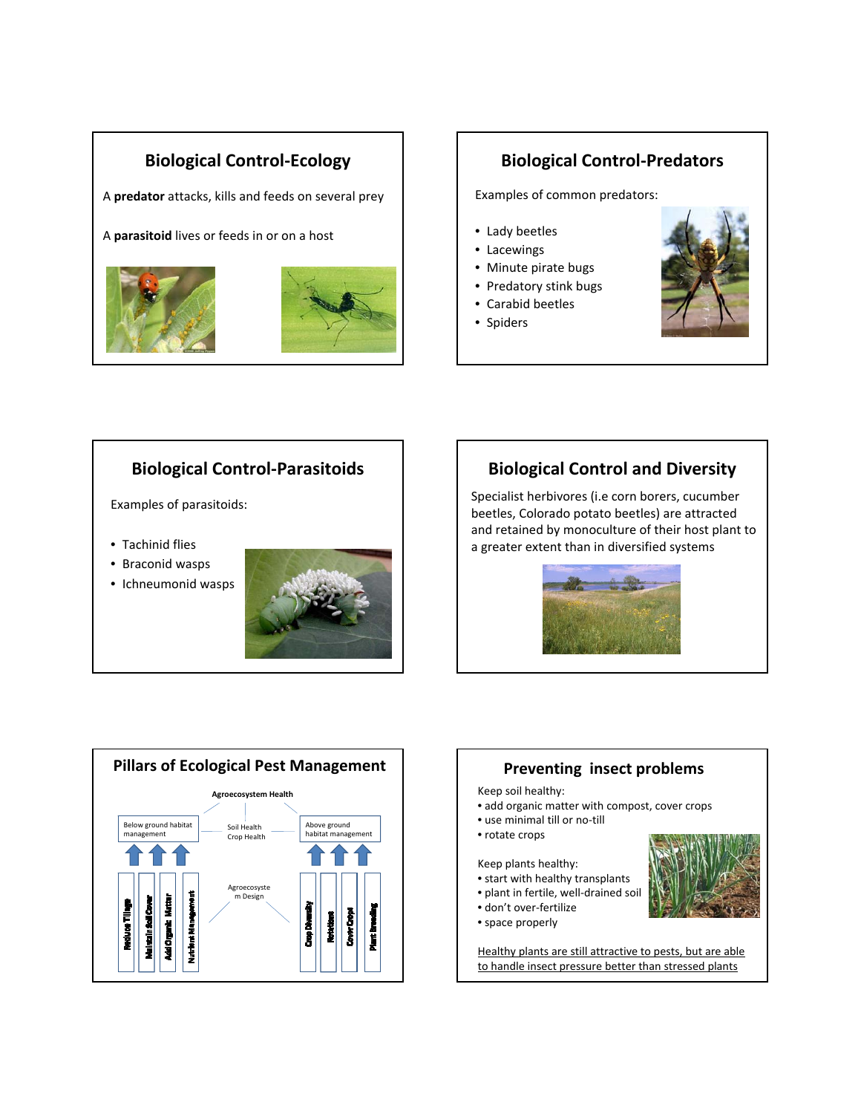### **Biological Control‐Ecology**

A **predator** attacks, kills and feeds on several prey

A **parasitoid** lives or feeds in or on a host



### **Biological Control‐Predators**

Examples of common predators:

- Lady beetles
- Lacewings
- Minute pirate bugs
- Predatory stink bugs
- Carabid beetles
- Spiders



### **Biological Control‐Parasitoids**

Examples of parasitoids:

- Tachinid flies
- Braconid wasps
- Ichneumonid wasps



### **Biological Control and Diversity**

Specialist herbivores (i.e corn borers, cucumber beetles, Colorado potato beetles) are attracted and retained by monoculture of their host plant to a greater extent than in diversified systems







Healthy plants are still attractive to pests, but are able to handle insect pressure better than stressed plants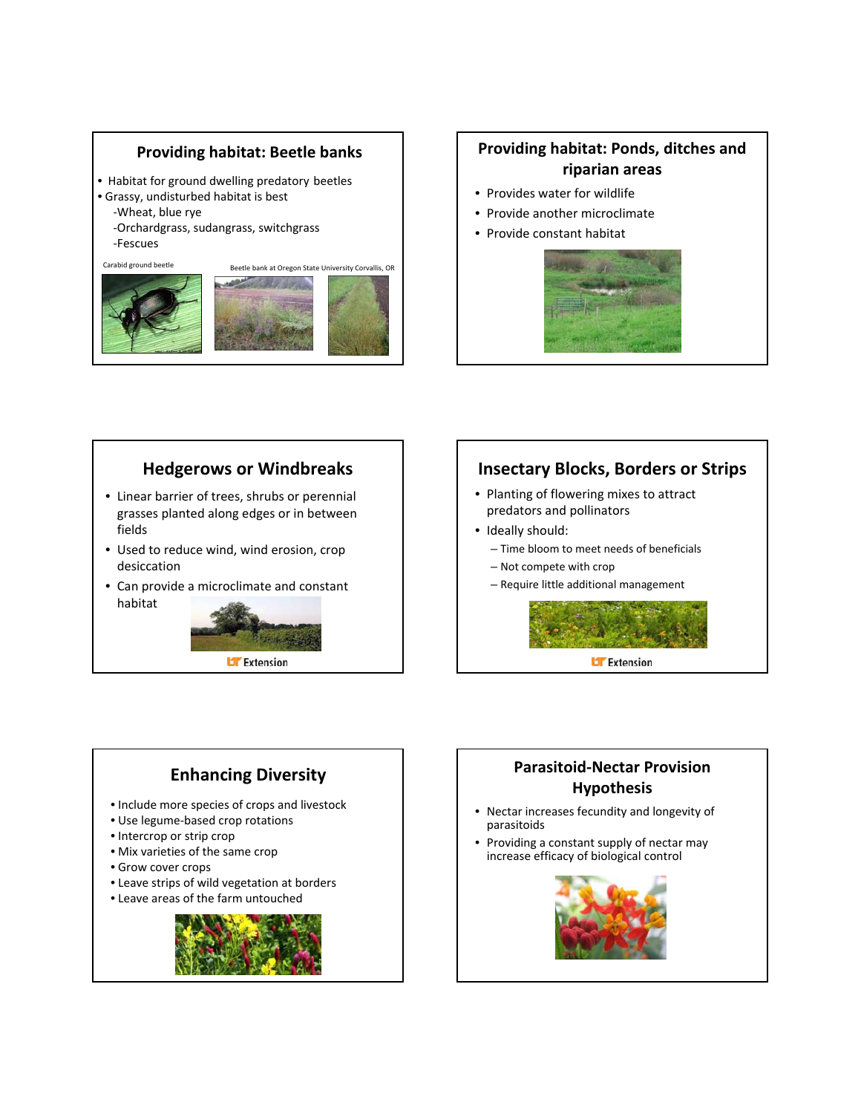### **Providing habitat: Beetle banks**

- Habitat for ground dwelling predatory beetles
- Grassy, undisturbed habitat is best
	- ‐Wheat, blue rye
	- ‐Orchardgrass, sudangrass, switchgrass ‐Fescues

Carabid ground beetle





### **Providing habitat: Ponds, ditches and riparian areas**

- Provides water for wildlife
- Provide another microclimate
- Provide constant habitat



### **Hedgerows or Windbreaks**

- Linear barrier of trees, shrubs or perennial grasses planted along edges or in between fields
- Used to reduce wind, wind erosion, crop desiccation
- Can provide a microclimate and constant habitat



### **Insectary Blocks, Borders or Strips**

- Planting of flowering mixes to attract predators and pollinators
- Ideally should:
	- Time bloom to meet needs of beneficials
	- Not compete with crop
	- Require little additional management



### **Enhancing Diversity**

- Include more species of crops and livestock
- Use legume‐based crop rotations
- Intercrop or strip crop
- Mix varieties of the same crop
- Grow cover crops
- Leave strips of wild vegetation at borders
- Leave areas of the farm untouched



### **Parasitoid‐Nectar Provision Hypothesis**

- Nectar increases fecundity and longevity of parasitoids
- Providing a constant supply of nectar may increase efficacy of biological control

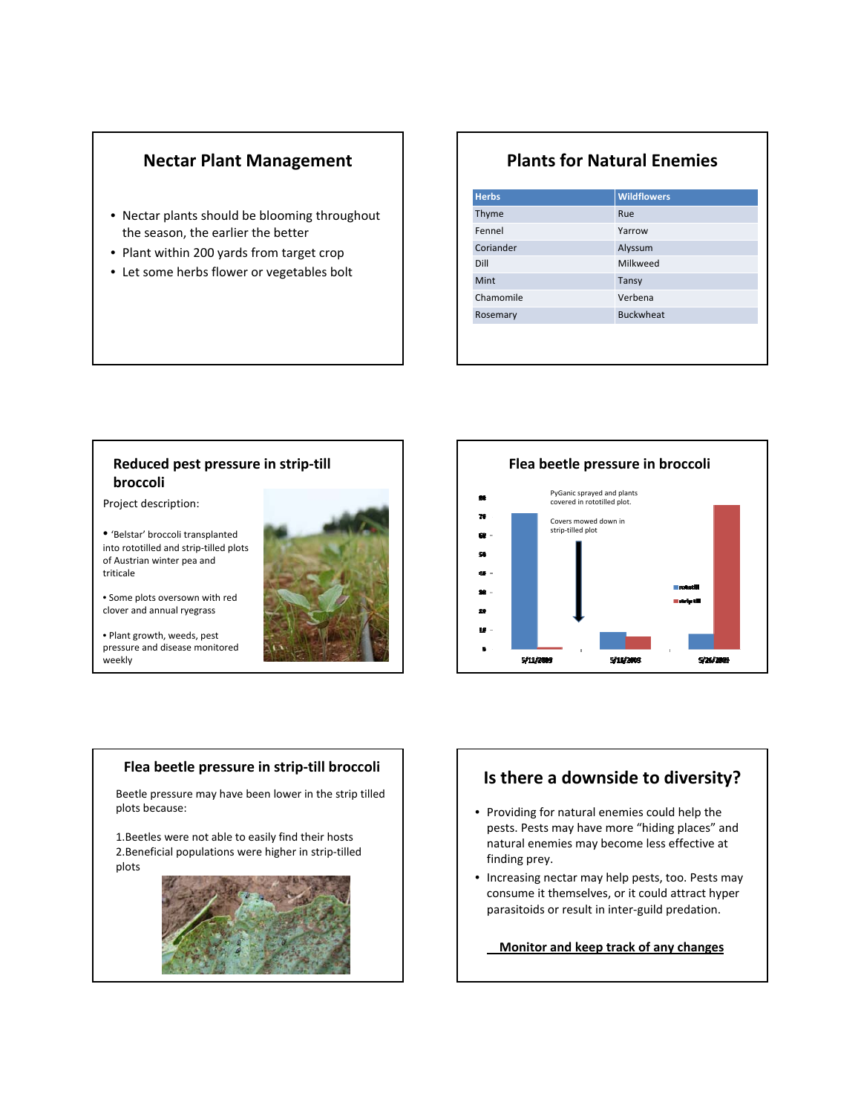### **Nectar Plant Management**

- Nectar plants should be blooming throughout the season, the earlier the better
- Plant within 200 yards from target crop
- Let some herbs flower or vegetables bolt

### **Plants for Natural Enemies**

| <b>Herbs</b> | <b>Wildflowers</b> |
|--------------|--------------------|
| Thyme        | Rue                |
| Fennel       | Yarrow             |
| Coriander    | Alyssum            |
| Dill         | Milkweed           |
| Mint         | Tansy              |
| Chamomile    | Verbena            |
| Rosemary     | <b>Buckwheat</b>   |
|              |                    |
|              |                    |

#### **Reduced pest pressure in strip‐till broccoli**

Project description:

• 'Belstar' broccoli transplanted into rototilled and strip‐tilled plots of Austrian winter pea and triticale

• Some plots oversown with red clover and annual ryegrass

• Plant growth, weeds, pest pressure and disease monitored weekly



#### **Flea beetle pressure in strip‐till broccoli**

Beetle pressure may have been lower in the strip tilled plots because:

1.Beetles were not able to easily find their hosts 2.Beneficial populations were higher in strip‐tilled plots



### **Is there a downside to diversity?**

- Providing for natural enemies could help the pests. Pests may have more "hiding places" and natural enemies may become less effective at finding prey.
- Increasing nectar may help pests, too. Pests may consume it themselves, or it could attract hyper parasitoids or result in inter‐guild predation.

**Monitor and keep track of any changes**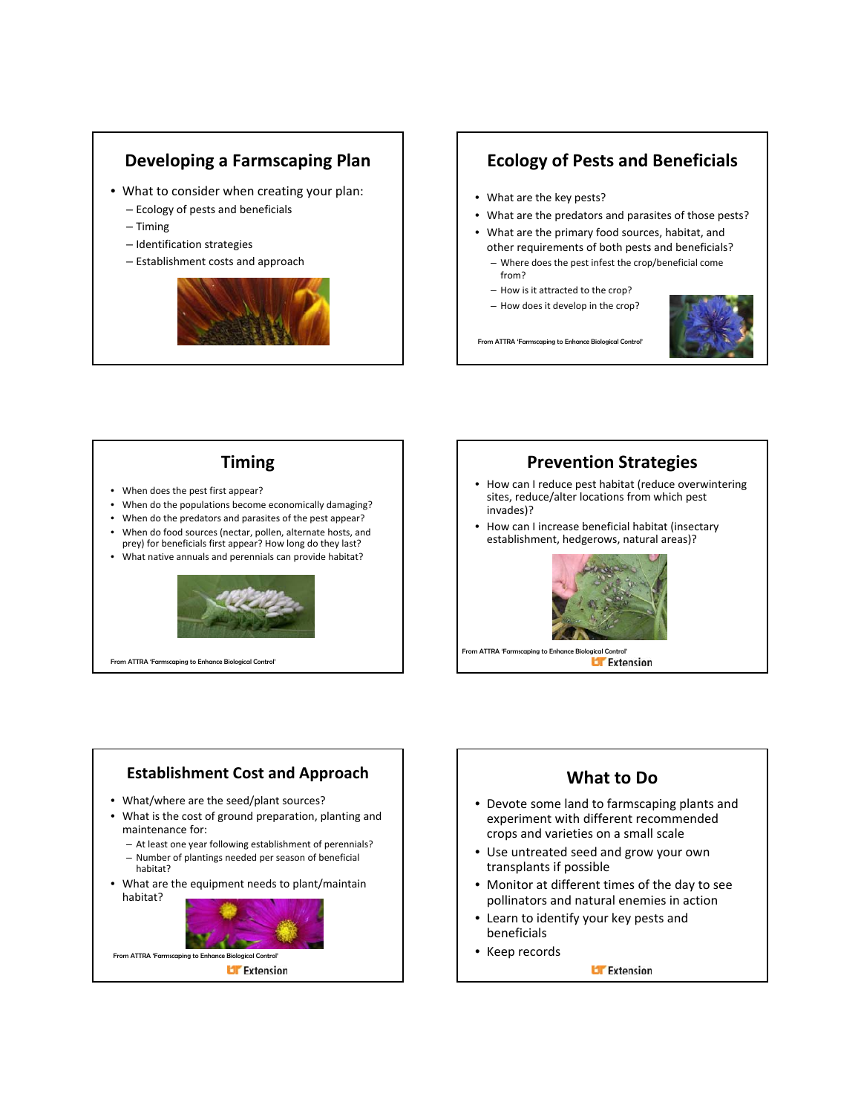### **Developing a Farmscaping Plan**

- What to consider when creating your plan:
	- Ecology of pests and beneficials
	- Timing
	- Identification strategies
	- Establishment costs and approach



### **Ecology of Pests and Beneficials**

- What are the key pests?
- What are the predators and parasites of those pests?
- What are the primary food sources, habitat, and other requirements of both pests and beneficials?
	- Where does the pest infest the crop/beneficial come from?
	- How is it attracted to the crop?
	- How does it develop in the crop?



From ATTRA 'Farmscaping to Enhance Biological Control

**Timing**

- When does the pest first appear?
- When do the populations become economically damaging?
- When do the predators and parasites of the pest appear? • When do food sources (nectar, pollen, alternate hosts, and
- prey) for beneficials first appear? How long do they last? • What native annuals and perennials can provide habitat?



From ATTRA 'Farmscaping to Enhance Biological Control'

### **Prevention Strategies**

- How can I reduce pest habitat (reduce overwintering sites, reduce/alter locations from which pest invades)?
- How can I increase beneficial habitat (insectary establishment, hedgerows, natural areas)?



### **Establishment Cost and Approach** • What/where are the seed/plant sources? • What is the cost of ground preparation, planting and maintenance for: – At least one year following establishment of perennials? – Number of plantings needed per season of beneficial habitat? • What are the equipment needs to plant/maintain habitat? From ATTRA 'Farmscaping to Enhance Biological Control' **Li** Extension

### **What to Do**

- Devote some land to farmscaping plants and experiment with different recommended crops and varieties on a small scale
- Use untreated seed and grow your own transplants if possible
- Monitor at different times of the day to see pollinators and natural enemies in action
- Learn to identify your key pests and beneficials
- Keep records

**Li** Extension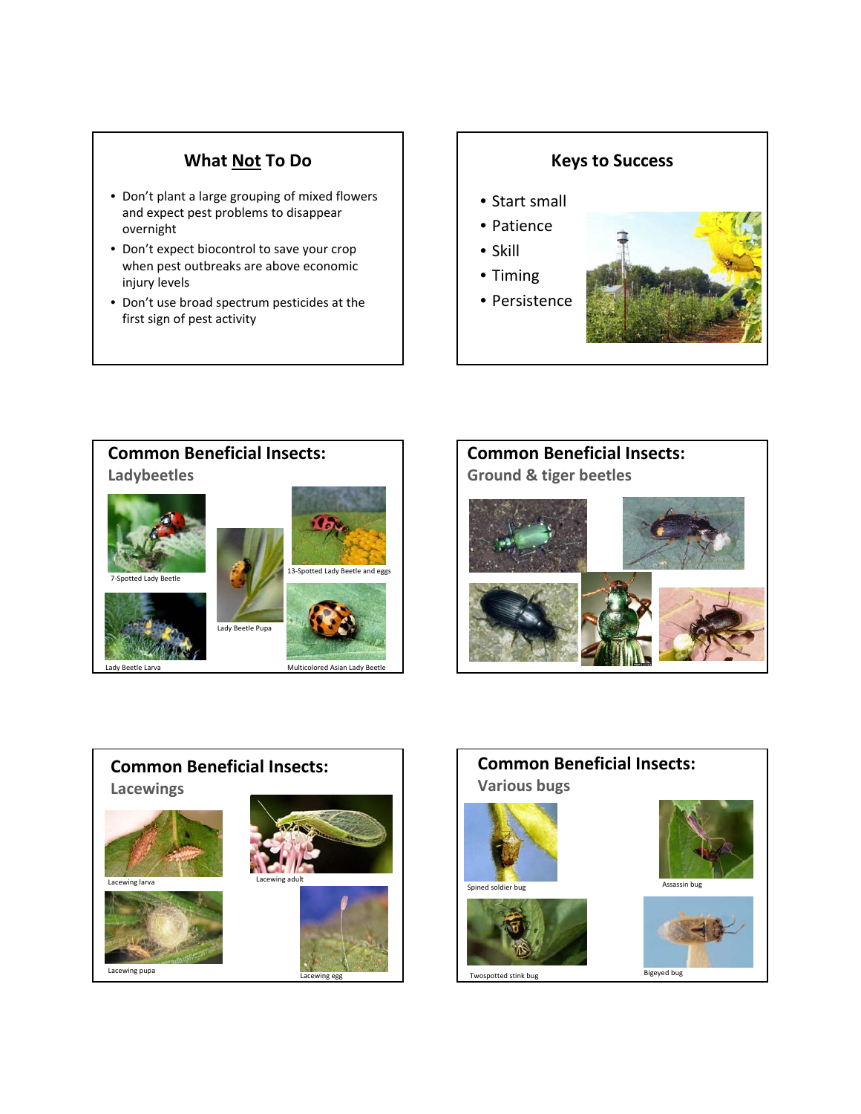### **What Not To Do**

- Don't plant a large grouping of mixed flowers and expect pest problems to disappear overnight
- Don't expect biocontrol to save your crop when pest outbreaks are above economic injury levels
- Don't use broad spectrum pesticides at the first sign of pest activity









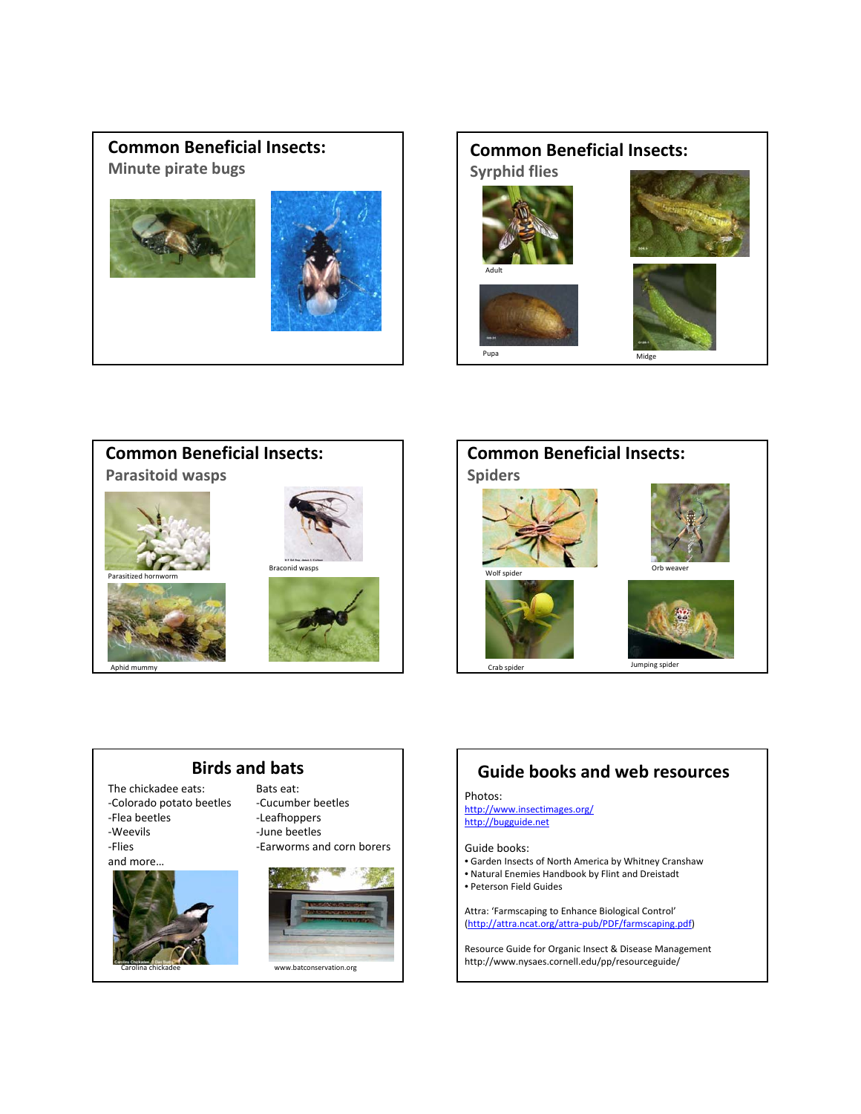### **Common Beneficial Insects: Minute pirate bugs**













www.batconservation.org

## **Guide books and web resources**

#### Photos:

http://www.insectimages.org/ http://bugguide.net

#### Guide books:

- Garden Insects of North America by Whitney Cranshaw
- Natural Enemies Handbook by Flint and Dreistadt
- Peterson Field Guides

Attra: 'Farmscaping to Enhance Biological Control' (http://attra.ncat.org/attra‐pub/PDF/farmscaping.pdf)

Resource Guide for Organic Insect & Disease Management http://www.nysaes.cornell.edu/pp/resourceguide/